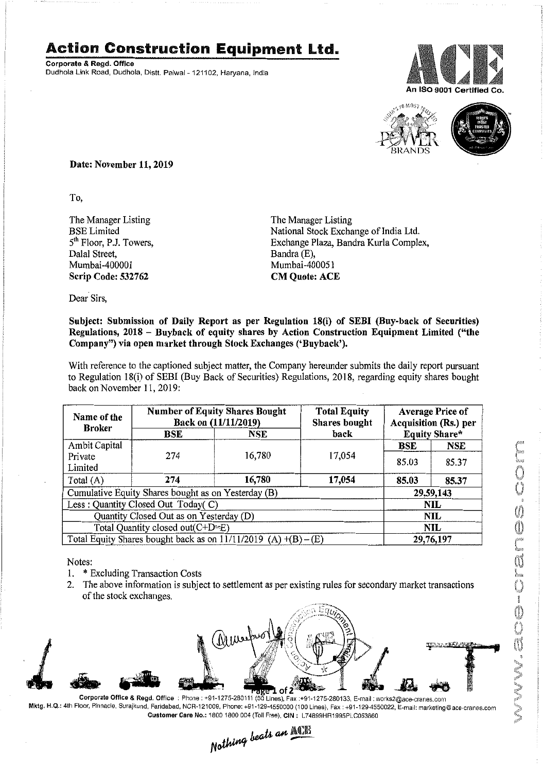## **Action Construction Equipment Ltd.**

Corporate & Regd. Office Dudhola Link Road, Dudhola, Distt, Palwal- 121102, Haryana, India





Date: November 11, 2019

To,

The Manager Listing BSELimited  $5<sup>th</sup>$  Floor, P.J. Towers, Dalal Street, Mumbai-400001 Scrip Code: 532762

The Manager Listing National Stock Exchange of India Ltd. Exchange Plaza, Bandra Kurla Complex, Bandra (E), Mumbai-400051 CM Quote: ACE

Dear Sirs,

## Subject: Submission of Daily Report as per Regulation 18(i) of SEBI (Buy-back of Securities) Regulations, 2018 - Buyback of equity shares by Action Construction Equipment Limited ("the Company") via open market through Stock Exchanges ('Buyback').

With reference to the captioned subject matter, the Company hereunder submits the daily report pursuant to Regulation 18(i) of SEBI (Buy Back of Securities) Regulations, 2018, regarding equity shares bought back on November 11, 2019:

| Name of the<br><b>Broker</b>                                        | <b>Number of Equity Shares Bought</b><br>Back on (11/11/2019) |        | <b>Total Equity</b><br><b>Shares</b> bought | <b>Average Price of</b><br>Acquisition (Rs.) per |                      |  |
|---------------------------------------------------------------------|---------------------------------------------------------------|--------|---------------------------------------------|--------------------------------------------------|----------------------|--|
|                                                                     | BSE                                                           | NSE    | back                                        |                                                  | <b>Equity Share*</b> |  |
| Ambit Capital                                                       |                                                               |        |                                             | BSE                                              | <b>NSE</b>           |  |
| Private<br>Limited                                                  | 274                                                           | 16,780 | 17,054                                      | 85.03                                            | 85.37                |  |
| Total (A)                                                           | 274                                                           | 16,780 | 17,054                                      | 85.03                                            | 85.37                |  |
| Cumulative Equity Shares bought as on Yesterday (B)                 |                                                               |        |                                             |                                                  | 29,59,143            |  |
| Less: Quantity Closed Out Today(C)                                  |                                                               |        |                                             |                                                  | NIL                  |  |
| Quantity Closed Out as on Yesterday (D)                             |                                                               |        |                                             |                                                  | NIL                  |  |
| Total Quantity closed out(C+D=E)                                    |                                                               |        |                                             |                                                  | NIL                  |  |
| Total Equity Shares bought back as on $11/11/2019$ (A) $+(B) - (E)$ |                                                               |        |                                             | 29,76,197                                        |                      |  |

Notes:

- 1. \* Excluding Transaction Costs
- 2. The above information is subject to settlement as per existing rules for secondary market transactions of the stock exchanges.



•• Customer Care No.: 1800 1800 004 (Toll Free), CIN: L74899HR1995PLC053860

Nothing beats an ACTE